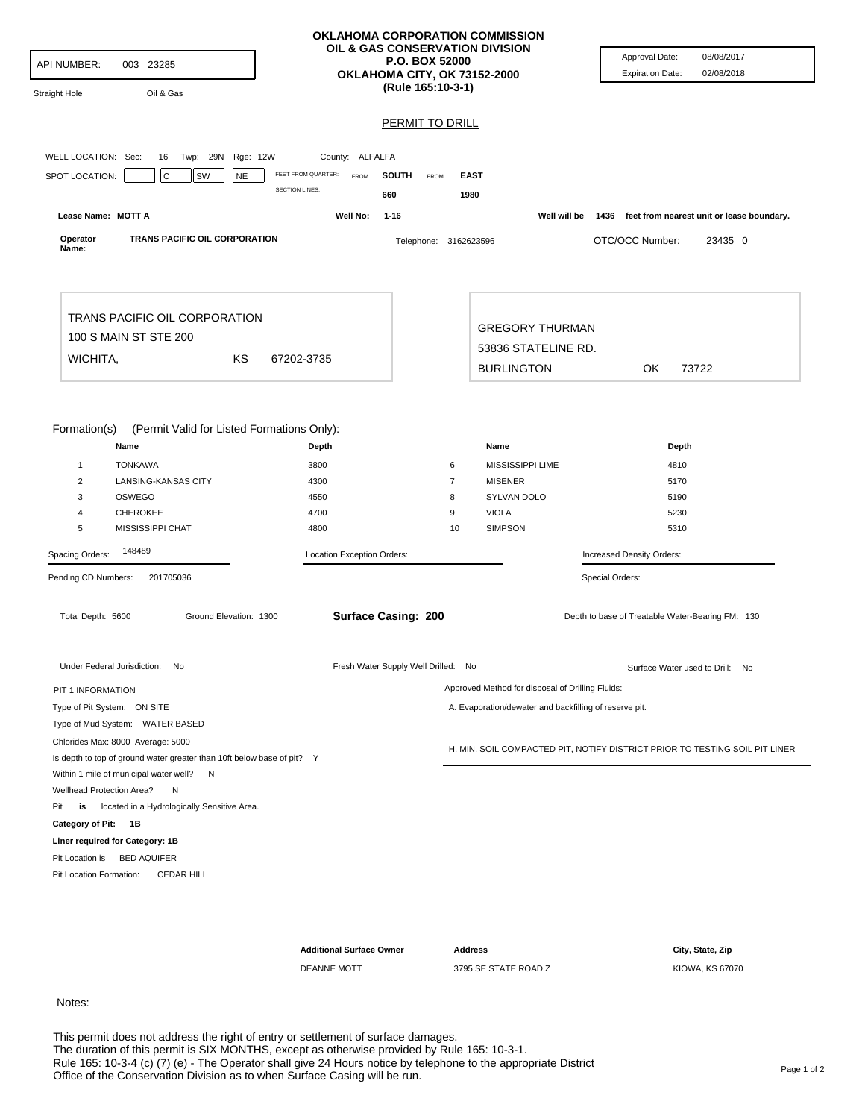| <b>API NUMBER:</b><br>003 23285<br>Oil & Gas<br>Straight Hole                                                                                                                                                    |                                                                             | <b>P.O. BOX 52000</b><br>OKLAHOMA CITY, OK 73152-2000<br>(Rule 165:10-3-1) | OKLAHOMA CORPORATION COMMISSION<br>OIL & GAS CONSERVATION DIVISION                                | Approval Date:<br>08/08/2017<br><b>Expiration Date:</b><br>02/08/2018                         |
|------------------------------------------------------------------------------------------------------------------------------------------------------------------------------------------------------------------|-----------------------------------------------------------------------------|----------------------------------------------------------------------------|---------------------------------------------------------------------------------------------------|-----------------------------------------------------------------------------------------------|
|                                                                                                                                                                                                                  |                                                                             | <b>PERMIT TO DRILL</b>                                                     |                                                                                                   |                                                                                               |
|                                                                                                                                                                                                                  |                                                                             |                                                                            |                                                                                                   |                                                                                               |
| WELL LOCATION: Sec:<br>Twp: 29N<br>Rge: 12W<br>16                                                                                                                                                                | County: ALFALFA                                                             |                                                                            |                                                                                                   |                                                                                               |
| $\mathsf C$<br>SPOT LOCATION:<br>SW<br><b>NE</b>                                                                                                                                                                 | FEET FROM QUARTER:<br><b>FROM</b>                                           | <b>SOUTH</b><br><b>FROM</b>                                                | <b>EAST</b>                                                                                       |                                                                                               |
|                                                                                                                                                                                                                  | <b>SECTION LINES:</b>                                                       | 660                                                                        | 1980                                                                                              |                                                                                               |
| Lease Name: MOTT A                                                                                                                                                                                               | Well No:                                                                    | $1 - 16$                                                                   |                                                                                                   | Well will be 1436 feet from nearest unit or lease boundary.                                   |
| TRANS PACIFIC OIL CORPORATION<br>Operator<br>Name:                                                                                                                                                               |                                                                             | Telephone: 3162623596                                                      |                                                                                                   | OTC/OCC Number:<br>23435 0                                                                    |
| TRANS PACIFIC OIL CORPORATION<br>100 S MAIN ST STE 200<br>ΚS<br>WICHITA,                                                                                                                                         | 67202-3735                                                                  |                                                                            | <b>GREGORY THURMAN</b><br>53836 STATELINE RD.                                                     |                                                                                               |
|                                                                                                                                                                                                                  |                                                                             |                                                                            | <b>BURLINGTON</b>                                                                                 | 0K<br>73722                                                                                   |
| Name<br><b>TONKAWA</b><br>$\mathbf{1}$<br>$\overline{2}$<br>LANSING-KANSAS CITY<br>3<br>OSWEGO<br><b>CHEROKEE</b><br>4<br>5<br>MISSISSIPPI CHAT<br>148489<br>Spacing Orders:<br>Pending CD Numbers:<br>201705036 | Depth<br>3800<br>4300<br>4550<br>4700<br>4800<br>Location Exception Orders: | 6<br>$\overline{7}$<br>8<br>9                                              | Name<br>MISSISSIPPI LIME<br><b>MISENER</b><br>SYLVAN DOLO<br><b>VIOLA</b><br><b>SIMPSON</b><br>10 | Depth<br>4810<br>5170<br>5190<br>5230<br>5310<br>Increased Density Orders:<br>Special Orders: |
| Total Depth: 5600<br>Ground Elevation: 1300                                                                                                                                                                      |                                                                             | <b>Surface Casing: 200</b>                                                 |                                                                                                   | Depth to base of Treatable Water-Bearing FM: 130                                              |
| Under Federal Jurisdiction: No                                                                                                                                                                                   |                                                                             | Fresh Water Supply Well Drilled: No                                        |                                                                                                   | Surface Water used to Drill: No                                                               |
| PIT 1 INFORMATION                                                                                                                                                                                                |                                                                             |                                                                            | Approved Method for disposal of Drilling Fluids:                                                  |                                                                                               |
| Type of Pit System: ON SITE                                                                                                                                                                                      |                                                                             |                                                                            | A. Evaporation/dewater and backfilling of reserve pit.                                            |                                                                                               |
| Type of Mud System: WATER BASED                                                                                                                                                                                  |                                                                             |                                                                            |                                                                                                   |                                                                                               |
| Chlorides Max: 8000 Average: 5000<br>Is depth to top of ground water greater than 10ft below base of pit? Y<br>Within 1 mile of municipal water well?<br>N                                                       |                                                                             |                                                                            |                                                                                                   | H. MIN. SOIL COMPACTED PIT, NOTIFY DISTRICT PRIOR TO TESTING SOIL PIT LINER                   |
| Wellhead Protection Area?<br>N                                                                                                                                                                                   |                                                                             |                                                                            |                                                                                                   |                                                                                               |
| is located in a Hydrologically Sensitive Area.<br>Pit                                                                                                                                                            |                                                                             |                                                                            |                                                                                                   |                                                                                               |
| Category of Pit: 1B                                                                                                                                                                                              |                                                                             |                                                                            |                                                                                                   |                                                                                               |
| Liner required for Category: 1B                                                                                                                                                                                  |                                                                             |                                                                            |                                                                                                   |                                                                                               |
| Pit Location is BED AQUIFER                                                                                                                                                                                      |                                                                             |                                                                            |                                                                                                   |                                                                                               |
| Pit Location Formation:<br><b>CEDAR HILL</b>                                                                                                                                                                     |                                                                             |                                                                            |                                                                                                   |                                                                                               |
|                                                                                                                                                                                                                  |                                                                             |                                                                            |                                                                                                   |                                                                                               |
|                                                                                                                                                                                                                  |                                                                             |                                                                            |                                                                                                   |                                                                                               |
|                                                                                                                                                                                                                  | <b>Additional Surface Owner</b>                                             |                                                                            | <b>Address</b>                                                                                    | City, State, Zip                                                                              |

DEANNE MOTT 3795 SE STATE ROAD Z KIOWA, KS 67070

## Notes:

This permit does not address the right of entry or settlement of surface damages.<br>The duration of this permit is SIX MONTHS, except as otherwise provided by Rule 165: 10-3-1.<br>Rule 165: 10-3-4 (c) (7) (e) - The Operator sha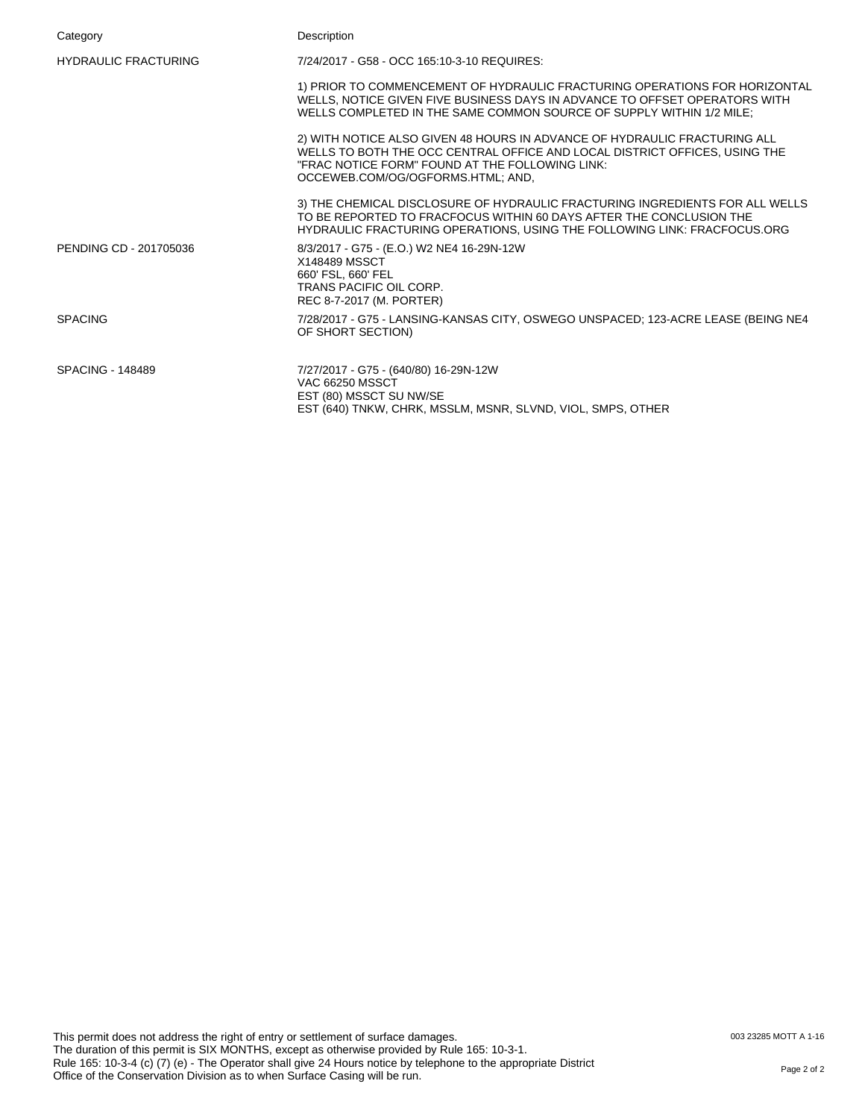| Category                    | Description                                                                                                                                                                                                                                     |
|-----------------------------|-------------------------------------------------------------------------------------------------------------------------------------------------------------------------------------------------------------------------------------------------|
| <b>HYDRAULIC FRACTURING</b> | 7/24/2017 - G58 - OCC 165:10-3-10 REQUIRES:                                                                                                                                                                                                     |
|                             | 1) PRIOR TO COMMENCEMENT OF HYDRAULIC FRACTURING OPERATIONS FOR HORIZONTAL<br>WELLS, NOTICE GIVEN FIVE BUSINESS DAYS IN ADVANCE TO OFFSET OPERATORS WITH<br>WELLS COMPLETED IN THE SAME COMMON SOURCE OF SUPPLY WITHIN 1/2 MILE:                |
|                             | 2) WITH NOTICE ALSO GIVEN 48 HOURS IN ADVANCE OF HYDRAULIC FRACTURING ALL<br>WELLS TO BOTH THE OCC CENTRAL OFFICE AND LOCAL DISTRICT OFFICES, USING THE<br>"FRAC NOTICE FORM" FOUND AT THE FOLLOWING LINK:<br>OCCEWEB.COM/OG/OGFORMS.HTML; AND, |
|                             | 3) THE CHEMICAL DISCLOSURE OF HYDRAULIC FRACTURING INGREDIENTS FOR ALL WELLS<br>TO BE REPORTED TO FRACFOCUS WITHIN 60 DAYS AFTER THE CONCLUSION THE<br>HYDRAULIC FRACTURING OPERATIONS, USING THE FOLLOWING LINK: FRACFOCUS.ORG                 |
| PENDING CD - 201705036      | 8/3/2017 - G75 - (E.O.) W2 NE4 16-29N-12W<br>X148489 MSSCT<br>660' FSL, 660' FEL<br>TRANS PACIFIC OIL CORP.<br>REC 8-7-2017 (M. PORTER)                                                                                                         |
| <b>SPACING</b>              | 7/28/2017 - G75 - LANSING-KANSAS CITY, OSWEGO UNSPACED; 123-ACRE LEASE (BEING NE4<br>OF SHORT SECTION)                                                                                                                                          |
| <b>SPACING - 148489</b>     | 7/27/2017 - G75 - (640/80) 16-29N-12W<br><b>VAC 66250 MSSCT</b><br>EST (80) MSSCT SU NW/SE<br>EST (640) TNKW, CHRK, MSSLM, MSNR, SLVND, VIOL, SMPS, OTHER                                                                                       |